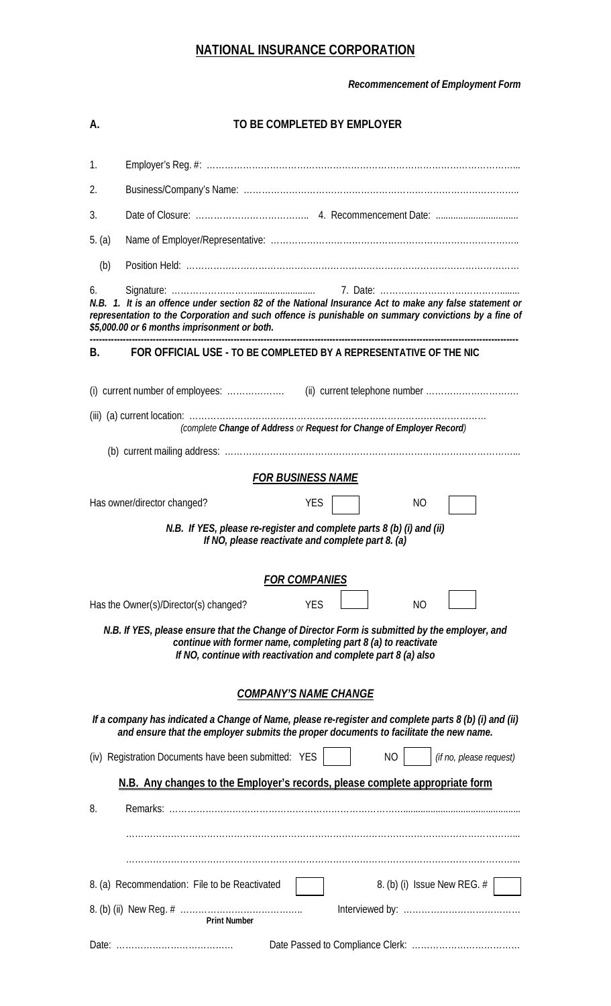## **NATIONAL INSURANCE CORPORATION**

*Recommencement of Employment Form* 

| А.                                                                                                                                                                                                                                                                   | TO BE COMPLETED BY EMPLOYER                                       |  |  |  |  |  |  |
|----------------------------------------------------------------------------------------------------------------------------------------------------------------------------------------------------------------------------------------------------------------------|-------------------------------------------------------------------|--|--|--|--|--|--|
| 1.                                                                                                                                                                                                                                                                   |                                                                   |  |  |  |  |  |  |
| 2.                                                                                                                                                                                                                                                                   |                                                                   |  |  |  |  |  |  |
| 3.                                                                                                                                                                                                                                                                   |                                                                   |  |  |  |  |  |  |
| 5. (a)                                                                                                                                                                                                                                                               |                                                                   |  |  |  |  |  |  |
| (b)                                                                                                                                                                                                                                                                  |                                                                   |  |  |  |  |  |  |
| 6.<br>N.B. 1. It is an offence under section 82 of the National Insurance Act to make any false statement or<br>representation to the Corporation and such offence is punishable on summary convictions by a fine of<br>\$5,000.00 or 6 months imprisonment or both. |                                                                   |  |  |  |  |  |  |
| <b>B.</b>                                                                                                                                                                                                                                                            | FOR OFFICIAL USE - TO BE COMPLETED BY A REPRESENTATIVE OF THE NIC |  |  |  |  |  |  |
|                                                                                                                                                                                                                                                                      |                                                                   |  |  |  |  |  |  |
| (complete Change of Address or Request for Change of Employer Record)                                                                                                                                                                                                |                                                                   |  |  |  |  |  |  |
|                                                                                                                                                                                                                                                                      |                                                                   |  |  |  |  |  |  |
| <b>FOR BUSINESS NAME</b>                                                                                                                                                                                                                                             |                                                                   |  |  |  |  |  |  |
|                                                                                                                                                                                                                                                                      | Has owner/director changed?<br><b>YES</b><br>NO                   |  |  |  |  |  |  |
| N.B. If YES, please re-register and complete parts 8 (b) (i) and (ii)<br>If NO, please reactivate and complete part 8. (a)                                                                                                                                           |                                                                   |  |  |  |  |  |  |
| <b>FOR COMPANIES</b>                                                                                                                                                                                                                                                 |                                                                   |  |  |  |  |  |  |
| Has the Owner(s)/Director(s) changed?<br>N <sub>O</sub><br><b>YES</b>                                                                                                                                                                                                |                                                                   |  |  |  |  |  |  |
| N.B. If YES, please ensure that the Change of Director Form is submitted by the employer, and<br>continue with former name, completing part 8 (a) to reactivate<br>If NO, continue with reactivation and complete part 8 (a) also                                    |                                                                   |  |  |  |  |  |  |
| <b>COMPANY'S NAME CHANGE</b>                                                                                                                                                                                                                                         |                                                                   |  |  |  |  |  |  |
| If a company has indicated a Change of Name, please re-register and complete parts 8 (b) (i) and (ii)<br>and ensure that the employer submits the proper documents to facilitate the new name.                                                                       |                                                                   |  |  |  |  |  |  |
| (iv) Registration Documents have been submitted: YES<br>N <sub>O</sub><br>(if no, please request)                                                                                                                                                                    |                                                                   |  |  |  |  |  |  |
| N.B. Any changes to the Employer's records, please complete appropriate form                                                                                                                                                                                         |                                                                   |  |  |  |  |  |  |
| 8.                                                                                                                                                                                                                                                                   |                                                                   |  |  |  |  |  |  |
|                                                                                                                                                                                                                                                                      |                                                                   |  |  |  |  |  |  |
| 8. (b) (i) Issue New REG. #<br>8. (a) Recommendation: File to be Reactivated                                                                                                                                                                                         |                                                                   |  |  |  |  |  |  |
|                                                                                                                                                                                                                                                                      | <b>Print Number</b>                                               |  |  |  |  |  |  |
|                                                                                                                                                                                                                                                                      |                                                                   |  |  |  |  |  |  |